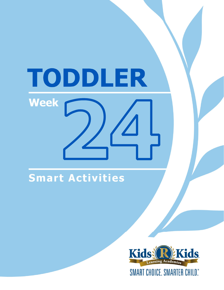# TODDLER **Week**

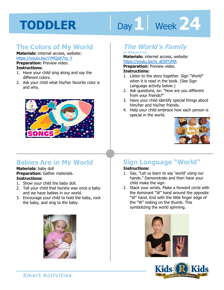# Day 1 **Week 24**

### **The Colors of My World**

**Materials:** internet access, website: https://youtu.be/1YMQdX7rq\_Y

**Preparation:** Preview video. **Instructions:** 

- 1. Have your child sing along and say the different colors.
- 2. Ask your child what his/her favorite color is and why.



# **Babies Are in My World**

**Materials:** baby doll **Preparation:** Gather materials. **Instructions:** 

- 1. Show your child the baby doll.
- 2. Tell your child that he/she was once a baby and we have babies in our world.
- 3. Encourage your child to hold the baby, rock the baby, and sing to the baby.



# **The World's Family**

#### **by Miranda Paul**

**Materials:** internet access, website:

https://youtu.be/ni\_at59TzMA<br>**Preparation:** Preview video.<br>**Instructions:**<br>1 Listen to the stary teastbor. Sian <sup>w</sup>W. **Preparation:** Preview video.

#### **Instructions:**

- 1. Listen to the story together. Sign "World" when it is read in the book. (See Sign Language activity below.)
- 2. Ask questions, ex: "How are you different from your friends?"
- 3. Have your child identify special things about him/her and his/her friends.
- 4. Help your child embrace how each person is special in the world.



# **Sign Language "World"**

### **Instructions:**

- 1. Say, "Let us learn to say 'world' using our hands." Demonstrate and then have your child make the sign.
- 2. Stack your wrists. Make a forward circle with the dominant "W" hand around the opposite "W" hand. End with the little finger edge of the "W" resting on the thumb. This symbolizing the world spinning.



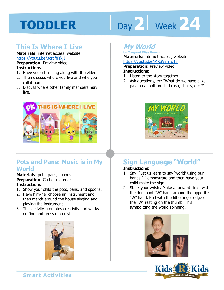# Day 2 **Week 24**

# **This Is Where I Live**

**Materials:** internet access, website: https://youtu.be/3crdfjFfxjI

**Preparation:** Preview video. **Instructions:** 

- 1. Have your child sing along with the video.
- 2. Then discuss where you live and why you call it home.
- 3. Discuss where other family members may live.



### **Pots and Pans: Music is in My World**

**Materials:** pots, pans, spoons **Preparation:** Gather materials. **Instructions:** 

- 1. Show your child the pots, pans, and spoons.
- 2. Have him/her choose an instrument and then march around the house singing and playing the instrument.
- 3. This activity promotes creativity and works on find and gross motor skills.



### **My World**

**by Margaret Wise Brown Materials:** internet access, website: https://youtu.be/iRRSVSn\_o18

**Preparation:** Preview video. **Instructions:** 

- 1. Listen to the story together.
- 2. Ask questions, ex: "What do we have alike, pajamas, toothbrush, brush, chairs, etc.?"



# **Sign Language "World"**

### **Instructions:**

- 1. Say, "Let us learn to say 'world' using our hands." Demonstrate and then have your child make the sign.
- 2. Stack your wrists. Make a forward circle with the dominant "W" hand around the opposite "W" hand. End with the little finger edge of the "W" resting on the thumb. This symbolizing the world spinning.



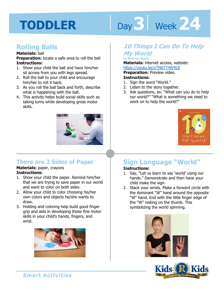# Day 3 | Week 24

### **Rolling Balls**

#### **Materials:** ball

**Preparation:** locate a safe area to roll the ball **Instructions:** 

- 1. Show your child the ball and have him/her sit across from you with legs spread.
- 2. Roll the ball to your child and encourage him/her to roll it back.
- 3. As you roll the ball back and forth, describe what is happening with the ball.
- 4. This activity helps build social skills such as taking turns while developing gross motor skills.



### **There are 2 Sides of Paper**

#### **Materials:** paper, crayons **Instructions:**

- 1. Show your child the paper. Remind him/her that we are trying to save paper in our world and want to color on both sides.
- 2. Allow your child to color choosing his/her own colors and objects he/she wants to draw.
- 3. Holding and coloring help build good finger grip and aids in developing those fine motor skills in your child's hands, fingers, and wrist.



### **10 Things I Can Do To Help My World**

**by Melanie Walsh** 

**Materials:** internet access, website:

https://youtu.be/xTN6T74W4L8

**Preparation:** Preview video. **Instructions:** 

- 1. Sign the word "World."
- 2. Listen to the story together.
- 3. Ask questions, ex: "What can you do to help our world?" "What is something we need to work on to help the world?"



# **Sign Language "World"**

### **Instructions:**

- 1. Say, "Let us learn to say 'world' using our hands." Demonstrate and then have your child make the sign.
- 2. Stack your wrists. Make a forward circle with the dominant "W" hand around the opposite "W" hand. End with the little finger edge of the "W" resting on the thumb. This symbolizing the world spinning.



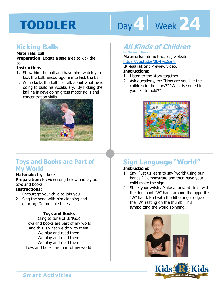# Day 4 **Week 24**

### **Kicking Balls**

#### **Materials:** ball

**Preparation:** Locate a safe area to kick the ball.

#### **Instructions:**

- 1. Show him the ball and have him watch you kick the ball. Encourage him to kick the ball.
- 2. As he kicks the ball use talk about what he is doing to build his vocabulary. By kicking the ball he is developing gross motor skills and concentration skills.



### **Toys and Books are Part of My World**

### **Materials:** toys, books

**Preparation:** Preview song below and lay out toys and books.

### **Instructions:**

- 1. Encourage your child to join you.
- 2. Sing the song with him clapping and dancing. Do multiple times.

### **Toys and Books**

(sing to tune of BINGO) Toys and books are part of my world. And this is what we do with them. We play and read them. We play and read them. We play and read them. Toys and books are part of my world!

# **All Kinds of Children**

#### **by Norman Simon Materials:** internet access, website: https://youtu.be/0kyFyixSzn8

<u>youtu.be/0kyFyixSzn8</u><br>ration: Preview video.<br>ctions:<br>en te the stary teastber. \**Preparation:** Preview video. **Instructions:** 

- 1. Listen to the story together.
- 2. Ask questions, ex: "How are you like the children in the story?" "What is something you like to hold?"



# **Sign Language "World"**

### **Instructions:**

- 1. Say, "Let us learn to say 'world' using our hands." Demonstrate and then have your child make the sign.
- 2. Stack your wrists. Make a forward circle with the dominant "W" hand around the opposite "W" hand. End with the little finger edge of the "W" resting on the thumb. This symbolizing the world spinning.